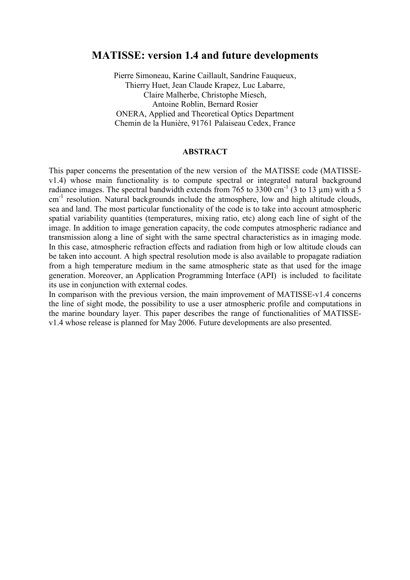## **MATISSE: version 1.4 and future developments**

Pierre Simoneau, Karine Caillault, Sandrine Fauqueux, Thierry Huet, Jean Claude Krapez, Luc Labarre, Claire Malherbe, Christophe Miesch. Antoine Roblin, Bernard Rosier **ONERA, Applied and Theoretical Optics Department** Chemin de la Hunière, 91761 Palaiseau Cedex, France

## **ABSTRACT**

This paper concerns the presentation of the new version of the MATISSE code (MATISSEv1.4) whose main functionality is to compute spectral or integrated natural background radiance images. The spectral bandwidth extends from 765 to 3300 cm<sup>-1</sup> (3 to 13  $\mu$ m) with a 5 cm<sup>-1</sup> resolution. Natural backgrounds include the atmosphere, low and high altitude clouds, sea and land. The most particular functionality of the code is to take into account atmospheric spatial variability quantities (temperatures, mixing ratio, etc) along each line of sight of the image. In addition to image generation capacity, the code computes atmospheric radiance and transmission along a line of sight with the same spectral characteristics as in imaging mode. In this case, atmospheric refraction effects and radiation from high or low altitude clouds can be taken into account. A high spectral resolution mode is also available to propagate radiation from a high temperature medium in the same atmospheric state as that used for the image generation. Moreover, an Application Programming Interface (API) is included to facilitate its use in conjunction with external codes.

In comparison with the previous version, the main improvement of MATISSE-v1.4 concerns the line of sight mode, the possibility to use a user atmospheric profile and computations in the marine boundary layer. This paper describes the range of functionalities of MATISSEv1.4 whose release is planned for May 2006. Future developments are also presented.